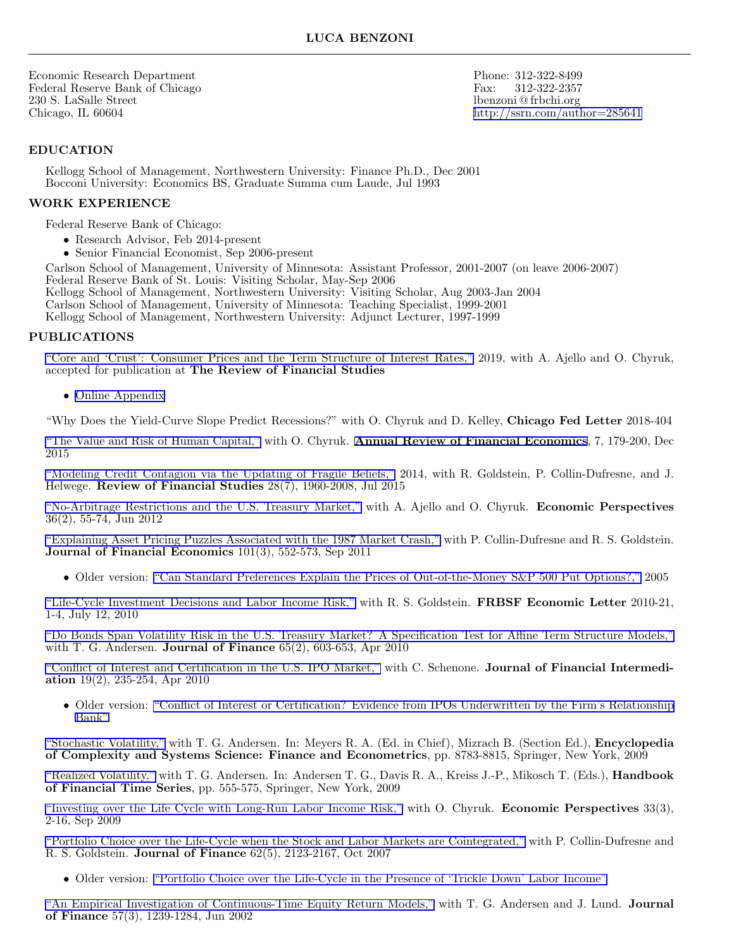Economic Research Department Phone: 312-322-8499<br>Federal Reserve Bank of Chicago Fax: 312-322-2357 Federal Reserve Bank of Chicago Fax: 312-322-235787. State Fax: 312-322-235787. Fax: 312-322-235787. Fax: 312-32-235787. Fax: 312-325787. Fax: 312-322-235787. Fax: 312-322-325787. Fax: 3212-325787. Fax: 3212-325787. Fax: 3 230 S. LaSalle Street lbenzoni @ frbchi.org Chicago, IL 60604 <http://ssrn.com/author=285641>

### **EDUCATION**

Kellogg School of Management, Northwestern University: Finance Ph.D., Dec 2001 Bocconi University: Economics BS, Graduate Summa cum Laude, Jul 1993

#### **WORK EXPERIENCE**

Federal Reserve Bank of Chicago:

- *•* Research Advisor, Feb 2014-present
- *•* Senior Financial Economist, Sep 2006-present

Carlson School of Management, University of Minnesota: Assistant Professor, 2001-2007 (on leave 2006-2007) Federal Reserve Bank of St. Louis: Visiting Scholar, May-Sep 2006

Kellogg School of Management, Northwestern University: Visiting Scholar, Aug 2003-Jan 2004

Carlson School of Management, University of Minnesota: Teaching Specialist, 1999-2001

Kellogg School of Management, Northwestern University: Adjunct Lecturer, 1997-1999

#### **PUBLICATIONS**

["Core and 'Crust': Consumer Prices and the Term Structure of Interest Rates,"](http://ssrn.com/abstract=1851906) 2019, with A. Ajello and O. Chyruk, accepted for publication at **The Review of Financial Studies**

*•* [Online Appendix](http://ssrn.com/abstract=2192271)

"Why Does the Yield-Curve Slope Predict Recessions?" with O. Chyruk and D. Kelley, **Chicago Fed Letter** 2018-404

["The Value and Risk of Human Capital,"](http://ssrn.com/abstract=2517397) with O. Chyruk. **[Annual Review of Financial Economics](http://www.annualreviews.org/journal/financial)**, 7, 179-200, Dec 2015

["Modeling Credit Contagion via the Updating of Fragile Beliefs,"](http://ssrn.com/abstract=2016579) 2014, with R. Goldstein, P. Collin-Dufresne, and J. Helwege. **Review of Financial Studies** 28(7), 1960-2008, Jul 2015

["No-Arbitrage Restrictions and the U.S. Treasury Market,"](http://ssrn.com/abstract=2054114) with A. Ajello and O. Chyruk. **Economic Perspectives** 36(2), 55-74, Jun 2012

["Explaining Asset Pricing Puzzles Associated with the 1987 Market Crash,"](http://ssrn.com/abstract=1543467) with P. Collin-Dufresne and R. S. Goldstein. **Journal of Financial Economics** 101(3), 552-573, Sep 2011

• Older version: ["Can Standard Preferences Explain the Prices of Out-of-the-Money S&P 500 Put Options?,"](http://ssrn.com/abstract=775146) 2005

["Life-Cycle Investment Decisions and Labor Income Risk,"](http://www.frbsf.org/publications/economics/letter/2010/el2010-21.pdf) with R. S. Goldstein. **FRBSF Economic Letter** 2010-21, 1-4, July 12, 2010

["Do Bonds Span Volatility Risk in the U.S. Treasury Market? A Specification Test for Affine Term Structure Models,"](http://ssrn.com/abstract=853105) with T. G. Andersen. **Journal of Finance** 65(2), 603-653, Apr 2010

["Conflict of Interest and Certification in the U.S. IPO Market,"](http://ssrn.com/abstract=1460324) with C. Schenone. **Journal of Financial Intermediation** 19(2), 235-254, Apr 2010

• Older version: ["Conflict of Interest or Certification? Evidence from IPOs Underwritten by the Firm's Relationship](http://ssrn.com/abstract=603982) [Bank"](http://ssrn.com/abstract=603982)

["Stochastic Volatility,"](http://papers.ssrn.com/sol3/papers.cfm?abstract_id=1076672) with T. G. Andersen. In: Meyers R. A. (Ed. in Chief), Mizrach B. (Section Ed.), **Encyclopedia of Complexity and Systems Science: Finance and Econometrics**, pp. 8783-8815, Springer, New York, 2009

["Realized Volatility,"](http://ssrn.com/abstract=1092203) with T. G. Andersen. In: Andersen T. G., Davis R. A., Kreiss J.-P., Mikosch T. (Eds.), **Handbook of Financial Time Series**, pp. 555-575, Springer, New York, 2009

["Investing over the Life Cycle with Long-Run Labor Income Risk,"](http://ssrn.com/abstract=1172702) with O. Chyruk. **Economic Perspectives** 33(3), 2-16, Sep 2009

["Portfolio Choice over the Life-Cycle when the Stock and Labor Markets are Cointegrated,"](http://papers.ssrn.com/sol3/papers.cfm?abstract_id=875984) with P. Collin-Dufresne and R. S. Goldstein. **Journal of Finance** 62(5), 2123-2167, Oct 2007

• Older version: ["Portfolio Choice over the Life-Cycle in the Presence of 'Trickle Down' Labor Income"](http://papers.ssrn.com/sol3/papers.cfm?abstract_id=642805)

["An Empirical Investigation of Continuous-Time Equity Return Models,"](http://papers.ssrn.com/sol3/papers.cfm?abstract_id=285640) with T. G. Andersen and J. Lund. **Journal of Finance** 57(3), 1239-1284, Jun 2002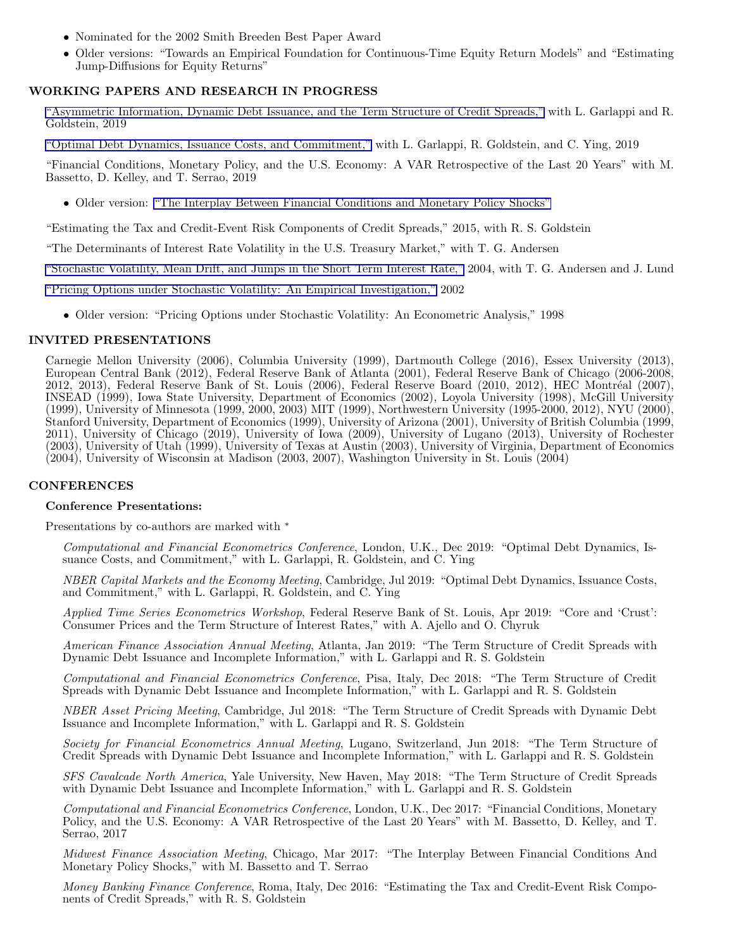- *•* Nominated for the 2002 Smith Breeden Best Paper Award
- Older versions: "Towards an Empirical Foundation for Continuous-Time Equity Return Models" and "Estimating Jump-Diffusions for Equity Returns"

### **WORKING PAPERS AND RESEARCH IN PROGRESS**

["Asymmetric Information, Dynamic Debt Issuance, and the Term Structure of Credit Spreads,"](http://ssrn.com/abstract=3454816) with L. Garlappi and R. Goldstein, 2019

["Optimal Debt Dynamics, Issuance Costs, and Commitment,"](http://ssrn.com/abstract=3454791) with L. Garlappi, R. Goldstein, and C. Ying, 2019

"Financial Conditions, Monetary Policy, and the U.S. Economy: A VAR Retrospective of the Last 20 Years" with M. Bassetto, D. Kelley, and T. Serrao, 2019

• Older version: ["The Interplay Between Financial Conditions and Monetary Policy Shocks"](http://ssrn.com/abstract=2852483)

"Estimating the Tax and Credit-Event Risk Components of Credit Spreads," 2015, with R. S. Goldstein

"The Determinants of Interest Rate Volatility in the U.S. Treasury Market," with T. G. Andersen

["Stochastic Volatility, Mean Drift, and Jumps in the Short Term Interest Rate,"](https://docs.google.com/leaf?id=0BxeU7IZoaYpsNWY2MGQ2MzItNGY3My00YmUwLWFiYjEtNzUzOGIwYmFiYzBm&hl=en) 2004, with T. G. Andersen and J. Lund

["Pricing Options under Stochastic Volatility: An Empirical Investigation,"](https://docs.google.com/viewer?a=v&pid=explorer&chrome=true&srcid=0BxeU7IZoaYpsOTgwMzk4ZWQtMGY1Yi00YzhjLTg3NGEtODlkM2MxMzBjNTdi&hl=en_US) 2002

• Older version: "Pricing Options under Stochastic Volatility: An Econometric Analysis," 1998

### **INVITED PRESENTATIONS**

Carnegie Mellon University (2006), Columbia University (1999), Dartmouth College (2016), Essex University (2013), European Central Bank (2012), Federal Reserve Bank of Atlanta (2001), Federal Reserve Bank of Chicago (2006-2008, 2012, 2013), Federal Reserve Bank of St. Louis (2006), Federal Reserve Board (2010, 2012), HEC Montréal (2007), INSEAD (1999), Iowa State University, Department of Economics (2002), Loyola University (1998), McGill University (1999), University of Minnesota (1999, 2000, 2003) MIT (1999), Northwestern University (1995-2000, 2012), NYU (2000), Stanford University, Department of Economics (1999), University of Arizona (2001), University of British Columbia (1999, 2011), University of Chicago (2019), University of Iowa (2009), University of Lugano (2013), University of Rochester (2003), University of Utah (1999), University of Texas at Austin (2003), University of Virginia, Department of Economics (2004), University of Wisconsin at Madison (2003, 2007), Washington University in St. Louis (2004)

#### **CONFERENCES**

#### **Conference Presentations:**

Presentations by co-authors are marked with *<sup>∗</sup>*

*Computational and Financial Econometrics Conference*, London, U.K., Dec 2019: "Optimal Debt Dynamics, Issuance Costs, and Commitment," with L. Garlappi, R. Goldstein, and C. Ying

*NBER Capital Markets and the Economy Meeting*, Cambridge, Jul 2019: "Optimal Debt Dynamics, Issuance Costs, and Commitment," with L. Garlappi, R. Goldstein, and C. Ying

*Applied Time Series Econometrics Workshop*, Federal Reserve Bank of St. Louis, Apr 2019: "Core and 'Crust': Consumer Prices and the Term Structure of Interest Rates," with A. Ajello and O. Chyruk

*American Finance Association Annual Meeting*, Atlanta, Jan 2019: "The Term Structure of Credit Spreads with Dynamic Debt Issuance and Incomplete Information," with L. Garlappi and R. S. Goldstein

*Computational and Financial Econometrics Conference*, Pisa, Italy, Dec 2018: "The Term Structure of Credit Spreads with Dynamic Debt Issuance and Incomplete Information," with L. Garlappi and R. S. Goldstein

*NBER Asset Pricing Meeting*, Cambridge, Jul 2018: "The Term Structure of Credit Spreads with Dynamic Debt Issuance and Incomplete Information," with L. Garlappi and R. S. Goldstein

*Society for Financial Econometrics Annual Meeting*, Lugano, Switzerland, Jun 2018: "The Term Structure of Credit Spreads with Dynamic Debt Issuance and Incomplete Information," with L. Garlappi and R. S. Goldstein

*SFS Cavalcade North America*, Yale University, New Haven, May 2018: "The Term Structure of Credit Spreads with Dynamic Debt Issuance and Incomplete Information," with L. Garlappi and R. S. Goldstein

*Computational and Financial Econometrics Conference*, London, U.K., Dec 2017: "Financial Conditions, Monetary Policy, and the U.S. Economy: A VAR Retrospective of the Last 20 Years" with M. Bassetto, D. Kelley, and T. Serrao, 2017

*Midwest Finance Association Meeting*, Chicago, Mar 2017: "The Interplay Between Financial Conditions And Monetary Policy Shocks," with M. Bassetto and T. Serrao

*Money Banking Finance Conference*, Roma, Italy, Dec 2016: "Estimating the Tax and Credit-Event Risk Components of Credit Spreads," with R. S. Goldstein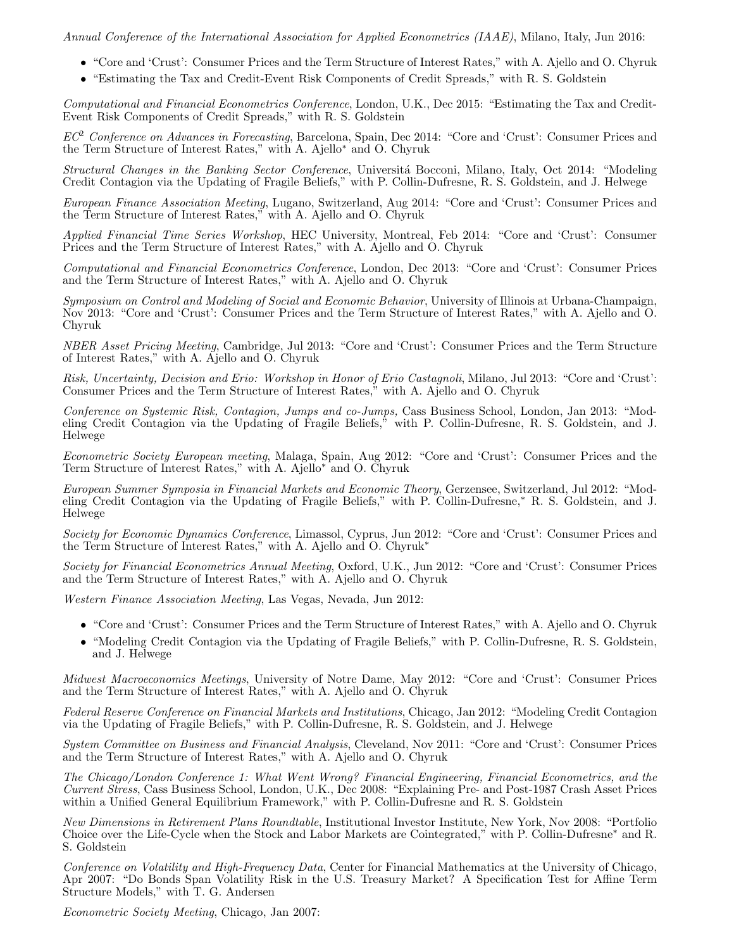*Annual Conference of the International Association for Applied Econometrics (IAAE)*, Milano, Italy, Jun 2016:

- "Core and 'Crust': Consumer Prices and the Term Structure of Interest Rates," with A. Ajello and O. Chyruk
- "Estimating the Tax and Credit-Event Risk Components of Credit Spreads," with R. S. Goldstein

*Computational and Financial Econometrics Conference*, London, U.K., Dec 2015: "Estimating the Tax and Credit-Event Risk Components of Credit Spreads," with R. S. Goldstein

*EC*<sup>2</sup> *Conference on Advances in Forecasting*, Barcelona, Spain, Dec 2014: "Core and 'Crust': Consumer Prices and the Term Structure of Interest Rates," with A. Ajello*∗* and O. Chyruk

*Structural Changes in the Banking Sector Conference*, Universit´a Bocconi, Milano, Italy, Oct 2014: "Modeling Credit Contagion via the Updating of Fragile Beliefs," with P. Collin-Dufresne, R. S. Goldstein, and J. Helwege

*European Finance Association Meeting*, Lugano, Switzerland, Aug 2014: "Core and 'Crust': Consumer Prices and the Term Structure of Interest Rates," with A. Ajello and O. Chyruk

*Applied Financial Time Series Workshop*, HEC University, Montreal, Feb 2014: "Core and 'Crust': Consumer Prices and the Term Structure of Interest Rates," with A. Ajello and O. Chyruk

*Computational and Financial Econometrics Conference*, London, Dec 2013: "Core and 'Crust': Consumer Prices and the Term Structure of Interest Rates," with A. Ajello and O. Chyruk

*Symposium on Control and Modeling of Social and Economic Behavior*, University of Illinois at Urbana-Champaign, Nov 2013: "Core and 'Crust': Consumer Prices and the Term Structure of Interest Rates," with A. Ajello and O. Chyruk

*NBER Asset Pricing Meeting*, Cambridge, Jul 2013: "Core and 'Crust': Consumer Prices and the Term Structure of Interest Rates," with A. Ajello and O. Chyruk

*Risk, Uncertainty, Decision and Erio: Workshop in Honor of Erio Castagnoli*, Milano, Jul 2013: "Core and 'Crust': Consumer Prices and the Term Structure of Interest Rates," with A. Ajello and O. Chyruk

*Conference on Systemic Risk, Contagion, Jumps and co-Jumps,* Cass Business School, London, Jan 2013: "Modeling Credit Contagion via the Updating of Fragile Beliefs," with P. Collin-Dufresne, R. S. Goldstein, and J. Helwege

*Econometric Society European meeting*, Malaga, Spain, Aug 2012: "Core and 'Crust': Consumer Prices and the Term Structure of Interest Rates," with A. Ajello*<sup>∗</sup>* and O. Chyruk

*European Summer Symposia in Financial Markets and Economic Theory*, Gerzensee, Switzerland, Jul 2012: "Modeling Credit Contagion via the Updating of Fragile Beliefs," with P. Collin-Dufresne,*<sup>∗</sup>* R. S. Goldstein, and J. Helwege

*Society for Economic Dynamics Conference*, Limassol, Cyprus, Jun 2012: "Core and 'Crust': Consumer Prices and the Term Structure of Interest Rates," with A. Ajello and O. Chyruk*<sup>∗</sup>*

*Society for Financial Econometrics Annual Meeting*, Oxford, U.K., Jun 2012: "Core and 'Crust': Consumer Prices and the Term Structure of Interest Rates," with A. Ajello and O. Chyruk

*Western Finance Association Meeting*, Las Vegas, Nevada, Jun 2012:

- "Core and 'Crust': Consumer Prices and the Term Structure of Interest Rates," with A. Ajello and O. Chyruk
- "Modeling Credit Contagion via the Updating of Fragile Beliefs," with P. Collin-Dufresne, R. S. Goldstein, and J. Helwege

*Midwest Macroeconomics Meetings*, University of Notre Dame, May 2012: "Core and 'Crust': Consumer Prices and the Term Structure of Interest Rates," with A. Ajello and O. Chyruk

*Federal Reserve Conference on Financial Markets and Institutions*, Chicago, Jan 2012: "Modeling Credit Contagion via the Updating of Fragile Beliefs," with P. Collin-Dufresne, R. S. Goldstein, and J. Helwege

*System Committee on Business and Financial Analysis*, Cleveland, Nov 2011: "Core and 'Crust': Consumer Prices and the Term Structure of Interest Rates," with A. Ajello and O. Chyruk

*The Chicago/London Conference 1: What Went Wrong? Financial Engineering, Financial Econometrics, and the Current Stress*, Cass Business School, London, U.K., Dec 2008: "Explaining Pre- and Post-1987 Crash Asset Prices within a Unified General Equilibrium Framework," with P. Collin-Dufresne and R. S. Goldstein

*New Dimensions in Retirement Plans Roundtable*, Institutional Investor Institute, New York, Nov 2008: "Portfolio Choice over the Life-Cycle when the Stock and Labor Markets are Cointegrated," with P. Collin-Dufresne*<sup>∗</sup>* and R. S. Goldstein

*Conference on Volatility and High-Frequency Data*, Center for Financial Mathematics at the University of Chicago, Apr 2007: "Do Bonds Span Volatility Risk in the U.S. Treasury Market? A Specification Test for Affine Term Structure Models," with T. G. Andersen

*Econometric Society Meeting*, Chicago, Jan 2007: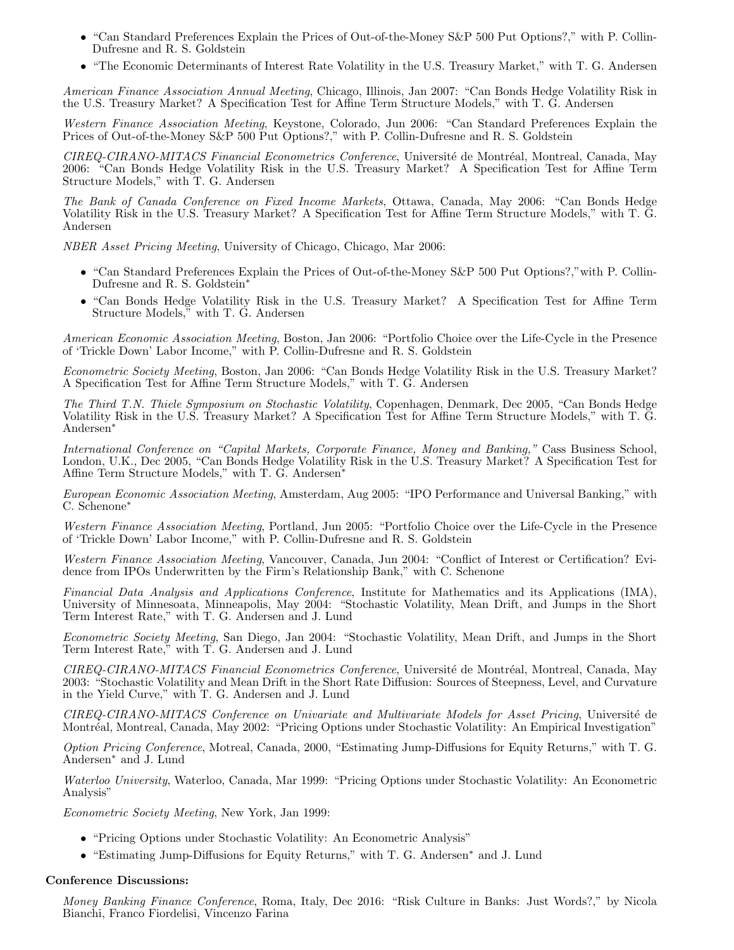- "Can Standard Preferences Explain the Prices of Out-of-the-Money S&P 500 Put Options?," with P. Collin-Dufresne and R. S. Goldstein
- "The Economic Determinants of Interest Rate Volatility in the U.S. Treasury Market," with T. G. Andersen

*American Finance Association Annual Meeting*, Chicago, Illinois, Jan 2007: "Can Bonds Hedge Volatility Risk in the U.S. Treasury Market? A Specification Test for Affine Term Structure Models," with T. G. Andersen

*Western Finance Association Meeting*, Keystone, Colorado, Jun 2006: "Can Standard Preferences Explain the Prices of Out-of-the-Money S&P 500 Put Options?," with P. Collin-Dufresne and R. S. Goldstein

*CIREQ-CIRANO-MITACS Financial Econometrics Conference*, Universit´e de Montr´eal, Montreal, Canada, May 2006: "Can Bonds Hedge Volatility Risk in the U.S. Treasury Market? A Specification Test for Affine Term Structure Models," with T. G. Andersen

*The Bank of Canada Conference on Fixed Income Markets*, Ottawa, Canada, May 2006: "Can Bonds Hedge Volatility Risk in the U.S. Treasury Market? A Specification Test for Affine Term Structure Models," with T. G. Andersen

*NBER Asset Pricing Meeting*, University of Chicago, Chicago, Mar 2006:

- "Can Standard Preferences Explain the Prices of Out-of-the-Money S&P 500 Put Options?," with P. Collin-Dufresne and R. S. Goldstein*∗*
- *•* "Can Bonds Hedge Volatility Risk in the U.S. Treasury Market? A Specification Test for Affine Term Structure Models," with T. G. Andersen

*American Economic Association Meeting*, Boston, Jan 2006: "Portfolio Choice over the Life-Cycle in the Presence of 'Trickle Down' Labor Income," with P. Collin-Dufresne and R. S. Goldstein

*Econometric Society Meeting*, Boston, Jan 2006: "Can Bonds Hedge Volatility Risk in the U.S. Treasury Market? A Specification Test for Affine Term Structure Models," with T. G. Andersen

*The Third T.N. Thiele Symposium on Stochastic Volatility*, Copenhagen, Denmark, Dec 2005, "Can Bonds Hedge Volatility Risk in the U.S. Treasury Market? A Specification Test for Affine Term Structure Models," with T. G. Andersen*<sup>∗</sup>*

*International Conference on "Capital Markets, Corporate Finance, Money and Banking,"* Cass Business School, London, U.K., Dec 2005, "Can Bonds Hedge Volatility Risk in the U.S. Treasury Market? A Specification Test for Affine Term Structure Models," with T. G. Andersen*<sup>∗</sup>*

*European Economic Association Meeting*, Amsterdam, Aug 2005: "IPO Performance and Universal Banking," with C. Schenone*<sup>∗</sup>*

*Western Finance Association Meeting*, Portland, Jun 2005: "Portfolio Choice over the Life-Cycle in the Presence of 'Trickle Down' Labor Income," with P. Collin-Dufresne and R. S. Goldstein

*Western Finance Association Meeting*, Vancouver, Canada, Jun 2004: "Conflict of Interest or Certification? Evidence from IPOs Underwritten by the Firm's Relationship Bank," with C. Schenone

*Financial Data Analysis and Applications Conference*, Institute for Mathematics and its Applications (IMA), University of Minnesoata, Minneapolis, May 2004: "Stochastic Volatility, Mean Drift, and Jumps in the Short Term Interest Rate," with T. G. Andersen and J. Lund

*Econometric Society Meeting*, San Diego, Jan 2004: "Stochastic Volatility, Mean Drift, and Jumps in the Short Term Interest Rate," with T. G. Andersen and J. Lund

*CIREQ-CIRANO-MITACS Financial Econometrics Conference*, Universit´e de Montr´eal, Montreal, Canada, May 2003: "Stochastic Volatility and Mean Drift in the Short Rate Diffusion: Sources of Steepness, Level, and Curvature in the Yield Curve," with T. G. Andersen and J. Lund

*CIREQ-CIRANO-MITACS Conference on Univariate and Multivariate Models for Asset Pricing*, Universit´e de Montréal, Montreal, Canada, May 2002: "Pricing Options under Stochastic Volatility: An Empirical Investigation"

*Option Pricing Conference*, Motreal, Canada, 2000, "Estimating Jump-Diffusions for Equity Returns," with T. G. Andersen*<sup>∗</sup>* and J. Lund

*Waterloo University*, Waterloo, Canada, Mar 1999: "Pricing Options under Stochastic Volatility: An Econometric Analysis"

*Econometric Society Meeting*, New York, Jan 1999:

- *•* "Pricing Options under Stochastic Volatility: An Econometric Analysis"
- *•* "Estimating Jump-Diffusions for Equity Returns," with T. G. Andersen*<sup>∗</sup>* and J. Lund

#### **Conference Discussions:**

*Money Banking Finance Conference*, Roma, Italy, Dec 2016: "Risk Culture in Banks: Just Words?," by Nicola Bianchi, Franco Fiordelisi, Vincenzo Farina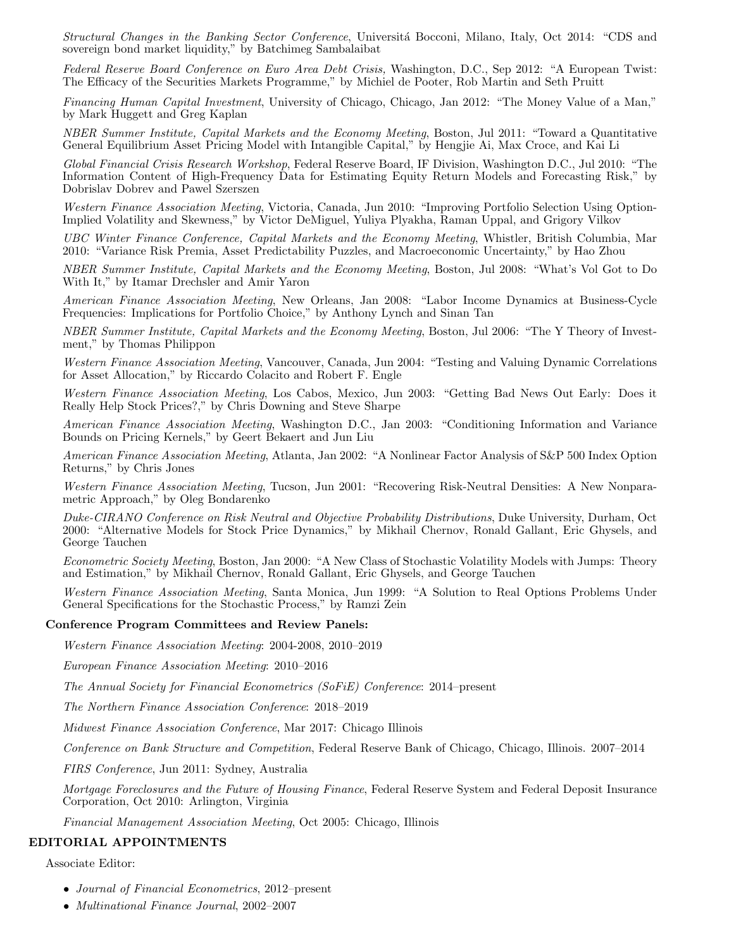*Structural Changes in the Banking Sector Conference*, Universit´a Bocconi, Milano, Italy, Oct 2014: "CDS and sovereign bond market liquidity," by Batchimeg Sambalaibat

*Federal Reserve Board Conference on Euro Area Debt Crisis,* Washington, D.C., Sep 2012: "A European Twist: The Efficacy of the Securities Markets Programme," by Michiel de Pooter, Rob Martin and Seth Pruitt

*Financing Human Capital Investment*, University of Chicago, Chicago, Jan 2012: "The Money Value of a Man," by Mark Huggett and Greg Kaplan

*NBER Summer Institute, Capital Markets and the Economy Meeting*, Boston, Jul 2011: "Toward a Quantitative General Equilibrium Asset Pricing Model with Intangible Capital," by Hengjie Ai, Max Croce, and Kai Li

*Global Financial Crisis Research Workshop*, Federal Reserve Board, IF Division, Washington D.C., Jul 2010: "The Information Content of High-Frequency Data for Estimating Equity Return Models and Forecasting Risk," by Dobrislav Dobrev and Pawel Szerszen

*Western Finance Association Meeting*, Victoria, Canada, Jun 2010: "Improving Portfolio Selection Using Option-Implied Volatility and Skewness," by Victor DeMiguel, Yuliya Plyakha, Raman Uppal, and Grigory Vilkov

*UBC Winter Finance Conference, Capital Markets and the Economy Meeting*, Whistler, British Columbia, Mar 2010: "Variance Risk Premia, Asset Predictability Puzzles, and Macroeconomic Uncertainty," by Hao Zhou

*NBER Summer Institute, Capital Markets and the Economy Meeting*, Boston, Jul 2008: "What's Vol Got to Do With It," by Itamar Drechsler and Amir Yaron

*American Finance Association Meeting*, New Orleans, Jan 2008: "Labor Income Dynamics at Business-Cycle Frequencies: Implications for Portfolio Choice," by Anthony Lynch and Sinan Tan

*NBER Summer Institute, Capital Markets and the Economy Meeting*, Boston, Jul 2006: "The Y Theory of Investment," by Thomas Philippon

*Western Finance Association Meeting*, Vancouver, Canada, Jun 2004: "Testing and Valuing Dynamic Correlations for Asset Allocation," by Riccardo Colacito and Robert F. Engle

*Western Finance Association Meeting*, Los Cabos, Mexico, Jun 2003: "Getting Bad News Out Early: Does it Really Help Stock Prices?," by Chris Downing and Steve Sharpe

*American Finance Association Meeting*, Washington D.C., Jan 2003: "Conditioning Information and Variance Bounds on Pricing Kernels," by Geert Bekaert and Jun Liu

*American Finance Association Meeting*, Atlanta, Jan 2002: "A Nonlinear Factor Analysis of S&P 500 Index Option Returns," by Chris Jones

*Western Finance Association Meeting*, Tucson, Jun 2001: "Recovering Risk-Neutral Densities: A New Nonparametric Approach," by Oleg Bondarenko

*Duke-CIRANO Conference on Risk Neutral and Objective Probability Distributions*, Duke University, Durham, Oct 2000: "Alternative Models for Stock Price Dynamics," by Mikhail Chernov, Ronald Gallant, Eric Ghysels, and George Tauchen

*Econometric Society Meeting*, Boston, Jan 2000: "A New Class of Stochastic Volatility Models with Jumps: Theory and Estimation," by Mikhail Chernov, Ronald Gallant, Eric Ghysels, and George Tauchen

*Western Finance Association Meeting*, Santa Monica, Jun 1999: "A Solution to Real Options Problems Under General Specifications for the Stochastic Process," by Ramzi Zein

#### **Conference Program Committees and Review Panels:**

*Western Finance Association Meeting*: 2004-2008, 2010–2019

*European Finance Association Meeting*: 2010–2016

*The Annual Society for Financial Econometrics (SoFiE) Conference*: 2014–present

*The Northern Finance Association Conference*: 2018–2019

*Midwest Finance Association Conference*, Mar 2017: Chicago Illinois

*Conference on Bank Structure and Competition*, Federal Reserve Bank of Chicago, Chicago, Illinois. 2007–2014

*FIRS Conference*, Jun 2011: Sydney, Australia

*Mortgage Foreclosures and the Future of Housing Finance*, Federal Reserve System and Federal Deposit Insurance Corporation, Oct 2010: Arlington, Virginia

*Financial Management Association Meeting*, Oct 2005: Chicago, Illinois

#### **EDITORIAL APPOINTMENTS**

Associate Editor:

- *• Journal of Financial Econometrics*, 2012–present
- *• Multinational Finance Journal*, 2002–2007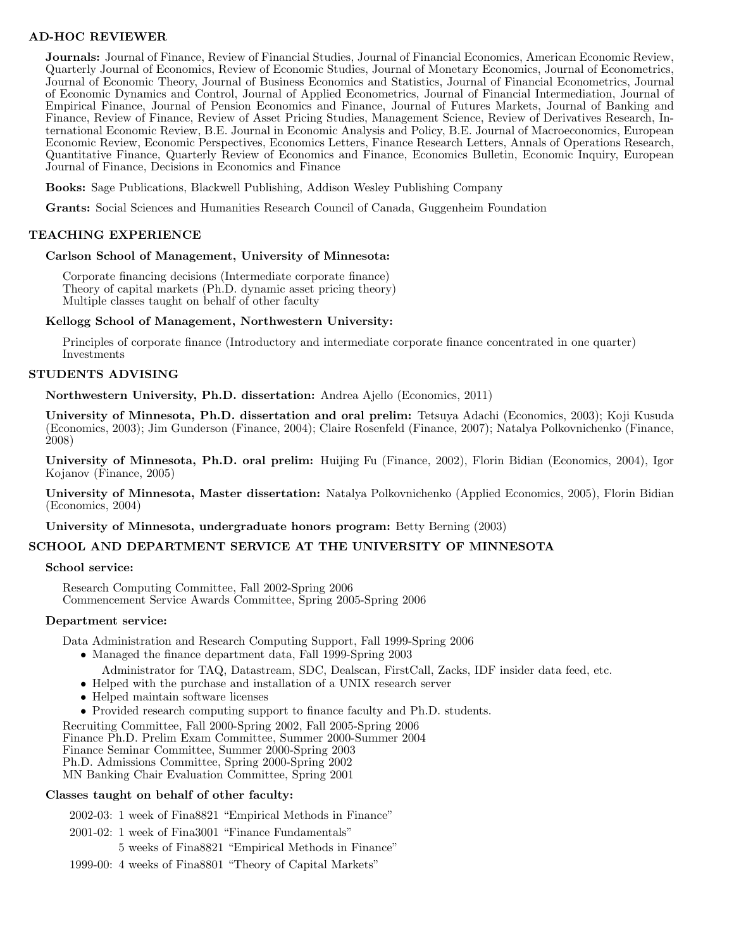## **AD-HOC REVIEWER**

**Journals:** Journal of Finance, Review of Financial Studies, Journal of Financial Economics, American Economic Review, Quarterly Journal of Economics, Review of Economic Studies, Journal of Monetary Economics, Journal of Econometrics, Journal of Economic Theory, Journal of Business Economics and Statistics, Journal of Financial Econometrics, Journal of Economic Dynamics and Control, Journal of Applied Econometrics, Journal of Financial Intermediation, Journal of Empirical Finance, Journal of Pension Economics and Finance, Journal of Futures Markets, Journal of Banking and Finance, Review of Finance, Review of Asset Pricing Studies, Management Science, Review of Derivatives Research, International Economic Review, B.E. Journal in Economic Analysis and Policy, B.E. Journal of Macroeconomics, European Economic Review, Economic Perspectives, Economics Letters, Finance Research Letters, Annals of Operations Research, Quantitative Finance, Quarterly Review of Economics and Finance, Economics Bulletin, Economic Inquiry, European Journal of Finance, Decisions in Economics and Finance

**Books:** Sage Publications, Blackwell Publishing, Addison Wesley Publishing Company

**Grants:** Social Sciences and Humanities Research Council of Canada, Guggenheim Foundation

### **TEACHING EXPERIENCE**

#### **Carlson School of Management, University of Minnesota:**

Corporate financing decisions (Intermediate corporate finance) Theory of capital markets (Ph.D. dynamic asset pricing theory) Multiple classes taught on behalf of other faculty

#### **Kellogg School of Management, Northwestern University:**

Principles of corporate finance (Introductory and intermediate corporate finance concentrated in one quarter) Investments

### **STUDENTS ADVISING**

**Northwestern University, Ph.D. dissertation:** Andrea Ajello (Economics, 2011)

**University of Minnesota, Ph.D. dissertation and oral prelim:** Tetsuya Adachi (Economics, 2003); Koji Kusuda (Economics, 2003); Jim Gunderson (Finance, 2004); Claire Rosenfeld (Finance, 2007); Natalya Polkovnichenko (Finance, 2008)

**University of Minnesota, Ph.D. oral prelim:** Huijing Fu (Finance, 2002), Florin Bidian (Economics, 2004), Igor Kojanov (Finance, 2005)

**University of Minnesota, Master dissertation:** Natalya Polkovnichenko (Applied Economics, 2005), Florin Bidian (Economics, 2004)

**University of Minnesota, undergraduate honors program:** Betty Berning (2003)

## **SCHOOL AND DEPARTMENT SERVICE AT THE UNIVERSITY OF MINNESOTA**

#### **School service:**

Research Computing Committee, Fall 2002-Spring 2006 Commencement Service Awards Committee, Spring 2005-Spring 2006

#### **Department service:**

Data Administration and Research Computing Support, Fall 1999-Spring 2006

- Managed the finance department data, Fall 1999-Spring 2003
- Administrator for TAQ, Datastream, SDC, Dealscan, FirstCall, Zacks, IDF insider data feed, etc.
- Helped with the purchase and installation of a UNIX research server
- *•* Helped maintain software licenses
- *•* Provided research computing support to finance faculty and Ph.D. students.

Recruiting Committee, Fall 2000-Spring 2002, Fall 2005-Spring 2006

Finance Ph.D. Prelim Exam Committee, Summer 2000-Summer 2004

Finance Seminar Committee, Summer 2000-Spring 2003

Ph.D. Admissions Committee, Spring 2000-Spring 2002

MN Banking Chair Evaluation Committee, Spring 2001

#### **Classes taught on behalf of other faculty:**

2002-03: 1 week of Fina8821 "Empirical Methods in Finance" 2001-02: 1 week of Fina3001 "Finance Fundamentals" 5 weeks of Fina8821 "Empirical Methods in Finance" 1999-00: 4 weeks of Fina8801 "Theory of Capital Markets"